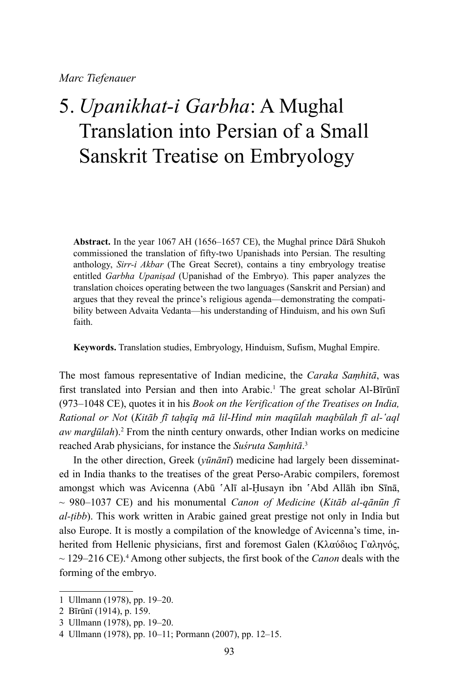# 5. *Upanikhat-i Garbha*: A Mughal Translation into Persian of a Small Sanskrit Treatise on Embryology

**Abstract.** In the year 1067 AH (1656–1657 CE), the Mughal prince Dārā Shukoh commissioned the translation of fifty-two Upanishads into Persian. The resulting anthology, *Sirr-i Akbar* (The Great Secret), contains a tiny embryology treatise entitled *Garbha Upaniṣad* (Upanishad of the Embryo). This paper analyzes the translation choices operating between the two languages (Sanskrit and Persian) and argues that they reveal the prince's religious agenda—demonstrating the compatibility between Advaita Vedanta—his understanding of Hinduism, and his own Sufi faith.

**Keywords.** Translation studies, Embryology, Hinduism, Sufism, Mughal Empire.

The most famous representative of Indian medicine, the *Caraka Saṃhitā*, was first translated into Persian and then into Arabic.<sup>1</sup> The great scholar Al-Bīrūnī (973–1048 CE), quotes it in his *Book on the Verification of the Treatises on India, Rational or Not* (*Kitāb fī taḥqīq mā lil-Hind min maqūlah maqbūlah fī al-'aql*  aw mar*dūlah*).<sup>2</sup> From the ninth century onwards, other Indian works on medicine reached Arab physicians, for instance the *Suśruta Saṃhitā*. 3

In the other direction, Greek (*yūnānī*) medicine had largely been disseminated in India thanks to the treatises of the great Perso-Arabic compilers, foremost amongst which was Avicenna (Abū 'Alī al-Ḥusayn ibn 'Abd Allāh ibn Sīnā, ~ 980–1037 CE) and his monumental *Canon of Medicine* (*Kitāb al-qānūn fī al-ṭibb*). This work written in Arabic gained great prestige not only in India but also Europe. It is mostly a compilation of the knowledge of Avicenna's time, inherited from Hellenic physicians, first and foremost Galen (Κλαύδιος Γαληνός, ~ 129–216 CE).4 Among other subjects, the first book of the *Canon* deals with the forming of the embryo.

<sup>1</sup> Ullmann (1978), pp. 19–20.

<sup>2</sup> Bīrūnī (1914), p. 159.

<sup>3</sup> Ullmann (1978), pp. 19–20.

<sup>4</sup> Ullmann (1978), pp. 10–11; Pormann (2007), pp. 12–15.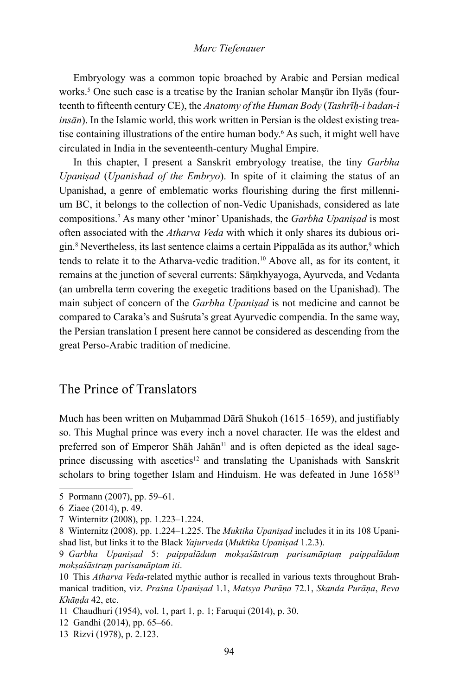Embryology was a common topic broached by Arabic and Persian medical works.5 One such case is a treatise by the Iranian scholar Manṣūr ibn Ilyās (fourteenth to fifteenth century CE), the *Anatomy of the Human Body* (*Tashrīḥ-i badan-i insān*). In the Islamic world, this work written in Persian is the oldest existing treatise containing illustrations of the entire human body.<sup>6</sup> As such, it might well have circulated in India in the seventeenth-century Mughal Empire.

In this chapter, I present a Sanskrit embryology treatise, the tiny *Garbha Upaniṣad* (*Upanishad of the Embryo*). In spite of it claiming the status of an Upanishad, a genre of emblematic works flourishing during the first millennium BC, it belongs to the collection of non-Vedic Upanishads, considered as late compositions.7 As many other 'minor' Upanishads, the *Garbha Upaniṣad* is most often associated with the *Atharva Veda* with which it only shares its dubious origin.<sup>8</sup> Nevertheless, its last sentence claims a certain Pippalāda as its author,<sup>9</sup> which tends to relate it to the Atharva-vedic tradition.<sup>10</sup> Above all, as for its content, it remains at the junction of several currents: Sāṃkhyayoga, Ayurveda, and Vedanta (an umbrella term covering the exegetic traditions based on the Upanishad). The main subject of concern of the *Garbha Upaniṣad* is not medicine and cannot be compared to Caraka's and Suśruta's great Ayurvedic compendia. In the same way, the Persian translation I present here cannot be considered as descending from the great Perso-Arabic tradition of medicine.

## The Prince of Translators

Much has been written on Muḥammad Dārā Shukoh (1615–1659), and justifiably so. This Mughal prince was every inch a novel character. He was the eldest and preferred son of Emperor Shāh Jahān<sup>11</sup> and is often depicted as the ideal sageprince discussing with ascetics<sup>12</sup> and translating the Upanishads with Sanskrit scholars to bring together Islam and Hinduism. He was defeated in June 1658<sup>13</sup>

<sup>5</sup> Pormann (2007), pp. 59–61.

<sup>6</sup> Ziaee (2014), p. 49.

<sup>7</sup> Winternitz (2008), pp. 1.223–1.224.

<sup>8</sup> Winternitz (2008), pp. 1.224–1.225. The *Muktika Upaniṣad* includes it in its 108 Upanishad list, but links it to the Black *Yajurveda* (*Muktika Upaniṣad* 1.2.3).

<sup>9</sup> *Garbha Upaniṣad* 5: *paippalādaṃ mokṣaśāstraṃ parisamāptaṃ paippalādaṃ mokṣaśāstraṃ parisamāptam iti*.

<sup>10</sup> This *Atharva Veda*-related mythic author is recalled in various texts throughout Brahmanical tradition, viz. *Praśna Upaniṣad* 1.1, *Matsya Purāṇa* 72.1, *Skanda Purāṇa*, *Reva Khāṇḍa* 42, etc.

<sup>11</sup> Chaudhuri (1954), vol. 1, part 1, p. 1; Faruqui (2014), p. 30.

<sup>12</sup> Gandhi (2014), pp. 65–66.

<sup>13</sup> Rizvi (1978), p. 2.123.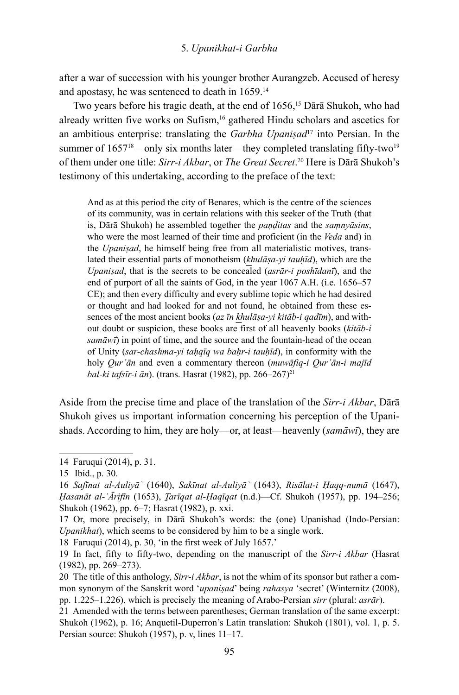after a war of succession with his younger brother Aurangzeb. Accused of heresy and apostasy, he was sentenced to death in 1659.14

Two years before his tragic death, at the end of 1656,15 Dārā Shukoh, who had already written five works on Sufism,16 gathered Hindu scholars and ascetics for an ambitious enterprise: translating the *Garbha Upaniṣad*17 into Persian. In the summer of  $1657^{18}$ —only six months later—they completed translating fifty-two<sup>19</sup> of them under one title: *Sirr-i Akbar*, or *The Great Secret*. <sup>20</sup> Here is Dārā Shukoh's testimony of this undertaking, according to the preface of the text:

And as at this period the city of Benares, which is the centre of the sciences of its community, was in certain relations with this seeker of the Truth (that is, Dārā Shukoh) he assembled together the *paṇḍitas* and the *saṃnyāsins*, who were the most learned of their time and proficient (in the *Veda* and) in the *Upaniṣad*, he himself being free from all materialistic motives, translated their essential parts of monotheism (*k ͟hulāṣa-yi tauḥīd*), which are the *Upaniṣad*, that is the secrets to be concealed (*asrār-i poshīdanī*), and the end of purport of all the saints of God, in the year 1067 A.H. (i.e. 1656–57 CE); and then every difficulty and every sublime topic which he had desired or thought and had looked for and not found, he obtained from these essences of the most ancient books (*az īn khulāṣa-yi kitāb-i qadīm*), and without doubt or suspicion, these books are first of all heavenly books (*kitāb-i samāwī*) in point of time, and the source and the fountain-head of the ocean of Unity (*sar-chashma-vi tahqīq wa bahr-i tauhīd*), in conformity with the holy *Qur'ān* and even a commentary thereon (*muwāfiq-i Qur'ān-i majīd bal-ki tafsīr-i ān*). (trans. Hasrat (1982), pp. 266-267)<sup>21</sup>

Aside from the precise time and place of the translation of the *Sirr-i Akbar*, Dārā Shukoh gives us important information concerning his perception of the Upanishads. According to him, they are holy—or, at least—heavenly (*samāwī*), they are

18 Faruqui (2014), p. 30, 'in the first week of July 1657.'

<sup>14</sup> Faruqui (2014), p. 31.

<sup>15</sup> Ibid., p. 30.

<sup>16</sup> *Safīnat al-Auliyāʾ* (1640), *Sakīnat al-Auliyāʾ* (1643), *Risālat-i Ḥaqq-numā* (1647), *Ḥasanāt al-ʿĀrifīn* (1653), *T̤arīqat al-Ḥaqīqat* (n.d.)—Cf. Shukoh (1957), pp. 194–256; Shukoh (1962), pp. 6–7; Hasrat (1982), p. xxi.

<sup>17</sup> Or, more precisely, in Dārā Shukoh's words: the (one) Upanishad (Indo-Persian: *Upanikhat*), which seems to be considered by him to be a single work.

<sup>19</sup> In fact, fifty to fifty-two, depending on the manuscript of the *Sirr-i Akbar* (Hasrat (1982), pp. 269–273).

<sup>20</sup> The title of this anthology, *Sirr-i Akbar*, is not the whim of its sponsor but rather a common synonym of the Sanskrit word '*upaniṣad*' being *rahasya* 'secret' (Winternitz (2008), pp. 1.225–1.226), which is precisely the meaning of Arabo-Persian *sirr* (plural: *asrār*).

<sup>21</sup> Amended with the terms between parentheses; German translation of the same excerpt: Shukoh (1962), p. 16; Anquetil-Duperron's Latin translation: Shukoh (1801), vol. 1, p. 5. Persian source: Shukoh (1957), p. v, lines 11–17.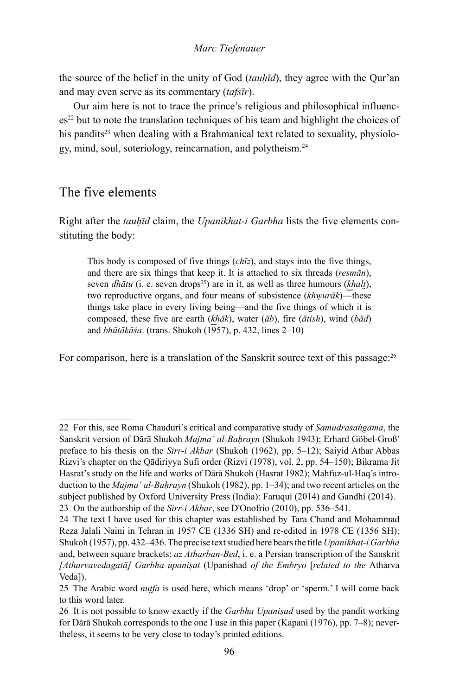the source of the belief in the unity of God *(tauhīd)*, they agree with the Our'an and may even serve as its commentary (*tafsīr*).

Our aim here is not to trace the prince's religious and philosophical influences<sup>22</sup> but to note the translation techniques of his team and highlight the choices of his pandits<sup>23</sup> when dealing with a Brahmanical text related to sexuality, physiology, mind, soul, soteriology, reincarnation, and polytheism.24

# The five elements

Right after the *tauḥīd* claim, the *Upanikhat-i Garbha* lists the five elements constituting the body:

This body is composed of five things (*chīz*), and stays into the five things, and there are six things that keep it. It is attached to six threads (*resmān*), seven *dhātu* (i. e. seven drops<sup>25</sup>) are in it, as well as three humours (*khalt*), two reproductive organs, and four means of subsistence (*khwurāk*)—these things take place in every living being—and the five things of which it is composed, these five are earth (*k ͟hāk*), water (*āb*), fire (*ātish*), wind (*bād*) and *bhūtākāśa*. (trans. Shukoh (1957), p. 432, lines 2–10)

For comparison, here is a translation of the Sanskrit source text of this passage:<sup>26</sup>

<sup>22</sup> For this, see Roma Chauduri's critical and comparative study of *Samudrasaṅgama*, the Sanskrit version of Dārā Shukoh *Majma' al-Baḥrayn* (Shukoh 1943); Erhard Göbel-Groß' preface to his thesis on the *Sirr-i Akbar* (Shukoh (1962), pp. 5–12); Saiyid Athar Abbas Rizvi's chapter on the Qādiriyya Sufi order (Rizvi (1978), vol. 2, pp. 54–150); Bikrama Jit Hasrat's study on the life and works of Dārā Shukoh (Hasrat 1982); Mahfuz-ul-Haq's introduction to the *Majma' al-Baḥrayn* (Shukoh (1982), pp. 1–34); and two recent articles on the subject published by Oxford University Press (India): Faruqui (2014) and Gandhi (2014).

<sup>23</sup> On the authorship of the *Sirr-i Akbar*, see D'Onofrio (2010), pp. 536–541.

<sup>24</sup> The text I have used for this chapter was established by Tara Chand and Mohammad Reza Jalali Naini in Tehran in 1957 CE (1336 SH) and re-edited in 1978 CE (1356 SH): Shukoh (1957), pp. 432–436. The precise text studied here bears the title *Upanikhat-i Garbha* and, between square brackets: *az Atharban-Bed*, i. e. a Persian transcription of the Sanskrit *[Atharvavedagatā] Garbha upaniṣat* (Upanishad *of the Embryo* [*related to the* Atharva Veda]).

<sup>25</sup> The Arabic word *nut̤fa* is used here, which means 'drop' or 'sperm.' I will come back to this word later.

<sup>26</sup> It is not possible to know exactly if the *Garbha Upaniṣad* used by the pandit working for Dārā Shukoh corresponds to the one I use in this paper (Kapani (1976), pp. 7–8); nevertheless, it seems to be very close to today's printed editions.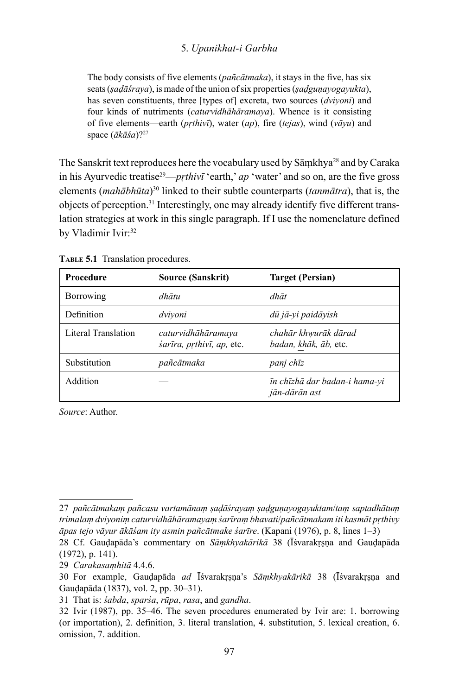The body consists of five elements (*pañcātmaka*), it stays in the five, has six seats (*ṣaḍāśraya*), is made of the union of six properties (*ṣaḍguṇayogayukta*), has seven constituents, three [types of] excreta, two sources (*dviyoni*) and four kinds of nutriments (*caturvidhāhāramaya*). Whence is it consisting of five elements—earth (*pṛthivī*), water (*ap*), fire (*tejas*), wind (*vāyu*) and space (*ākāśa*)?27

The Sanskrit text reproduces here the vocabulary used by Sāṃkhya<sup>28</sup> and by Caraka in his Ayurvedic treatise29—*pṛthivī* 'earth,' *ap* 'water' and so on, are the five gross elements (*mahābhūta*)<sup>30</sup> linked to their subtle counterparts (*tanmātra*), that is, the objects of perception.31 Interestingly, one may already identify five different translation strategies at work in this single paragraph. If I use the nomenclature defined by Vladimir Ivir:32

| <b>Procedure</b>    | Source (Sanskrit)                                                       | Target (Persian)                               |
|---------------------|-------------------------------------------------------------------------|------------------------------------------------|
| <b>Borrowing</b>    | dhātu                                                                   | dhāt                                           |
| Definition          | dvivoni                                                                 | dū jā-yi paidāyish                             |
| Literal Translation | caturvidhāhāramaya<br><i>sarīra</i> , <i>prthivī</i> , <i>ap</i> , etc. | chahār khwurāk dārad<br>badan, khāk, āb, etc.  |
| Substitution        | pañcātmaka                                                              | panj chīz                                      |
| Addition            |                                                                         | īn chīzhā dar badan-i hama-yi<br>jān-dārān ast |

TABLE 5.1 Translation procedures.

*Source*: Author.

<sup>27</sup> *pañcātmakaṃ pañcasu vartamānaṃ ṣaḍāśrayaṃ ṣaḍguṇayogayuktam*/*taṃ saptadhātuṃ trimalaṃ dviyoniṃ caturvidhāhāramayaṃ śarīraṃ bhavati*/*pañcātmakam iti kasmāt pṛthivy āpas tejo vāyur ākāśam ity asmin pañcātmake śarīre*. (Kapani (1976), p. 8, lines 1–3)

<sup>28</sup> Cf. Gauḍapāda's commentary on *Sāṃkhyakārikā* 38 (Īśvarakṛṣṇa and Gauḍapāda (1972), p. 141).

<sup>29</sup> *Carakasaṃhitā* 4.4.6.

<sup>30</sup> For example, Gauḍapāda *ad* Īśvarakṛṣṇa's *Sāṃkhyakārikā* 38 (Īśvarakṛṣṇa and Gauḍapāda (1837), vol. 2, pp. 30–31).

<sup>31</sup> That is: *śabda*, *sparśa*, *rūpa*, *rasa*, and *gandha*.

<sup>32</sup> Ivir (1987), pp. 35–46. The seven procedures enumerated by Ivir are: 1. borrowing (or importation), 2. definition, 3. literal translation, 4. substitution, 5. lexical creation, 6. omission, 7. addition.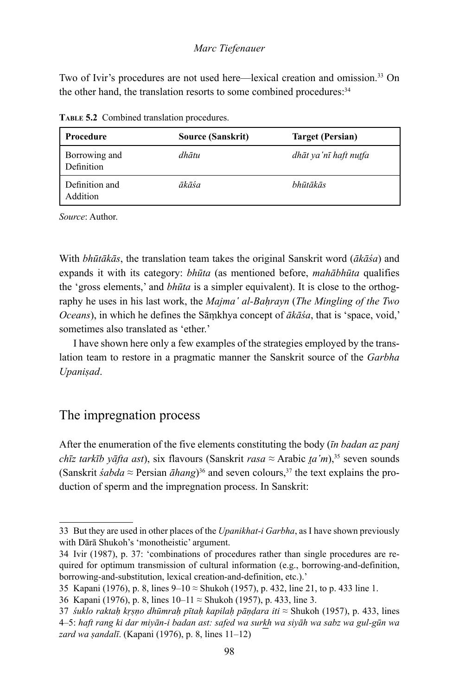Two of Ivir's procedures are not used here—lexical creation and omission.33 On the other hand, the translation resorts to some combined procedures:34

| Procedure                   | <b>Source (Sanskrit)</b> | <b>Target (Persian)</b> |  |
|-----------------------------|--------------------------|-------------------------|--|
| Borrowing and<br>Definition | dhātu                    | dhāt ya'nī haft nutfa   |  |
| Definition and<br>Addition  | ākāśa                    | bhūtākās                |  |

**TABLE 5.2** Combined translation procedures.

*Source*: Author.

With *bhūtākās*, the translation team takes the original Sanskrit word (*ākāśa*) and expands it with its category: *bhūta* (as mentioned before, *mahābhūta* qualifies the 'gross elements,' and *bhūta* is a simpler equivalent). It is close to the orthography he uses in his last work, the *Majma' al-Baḥrayn* (*The Mingling of the Two Oceans*), in which he defines the Sāṃkhya concept of *ākāśa*, that is 'space, void,' sometimes also translated as 'ether.'

I have shown here only a few examples of the strategies employed by the translation team to restore in a pragmatic manner the Sanskrit source of the *Garbha Upaniṣad*.

## The impregnation process

After the enumeration of the five elements constituting the body (*īn badan az panj chīz tarkīb yāfta ast*), six flavours (Sanskrit *rasa*  $\approx$  Arabic *ta'm*),<sup>35</sup> seven sounds (Sanskrit *śabda* ≈ Persian  $\bar{a}$ *hang*)<sup>36</sup> and seven colours,<sup>37</sup> the text explains the production of sperm and the impregnation process. In Sanskrit:

<sup>33</sup> But they are used in other places of the *Upanikhat-i Garbha*, as I have shown previously with Dārā Shukoh's 'monotheistic' argument.

<sup>34</sup> Ivir (1987), p. 37: 'combinations of procedures rather than single procedures are required for optimum transmission of cultural information (e.g., borrowing-and-definition, borrowing-and-substitution, lexical creation-and-definition, etc.).'

<sup>35</sup> Kapani (1976), p. 8, lines 9–10 ≈ Shukoh (1957), p. 432, line 21, to p. 433 line 1.

<sup>36</sup> Kapani (1976), p. 8, lines 10–11 ≈ Shukoh (1957), p. 433, line 3.

<sup>37</sup> *śuklo raktaḥ kṛṣṇo dhūmraḥ pītaḥ kapilaḥ pāṇḍara iti* ≈ Shukoh (1957), p. 433, lines 4-5: haft rang ki dar miyān-i badan ast: safed wa surkh wa siyāh wa sabz wa gul-gūn wa *zard wa ṣandalī*. (Kapani (1976), p. 8, lines 11–12)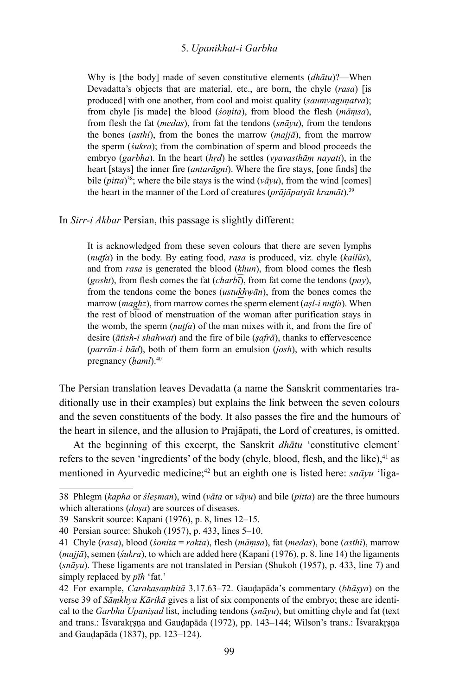Why is [the body] made of seven constitutive elements (*dhātu*)?—When Devadatta's objects that are material, etc., are born, the chyle (*rasa*) [is produced] with one another, from cool and moist quality (*saumyaguṇatva*); from chyle [is made] the blood (*śoṇita*), from blood the flesh (*māṃsa*), from flesh the fat (*medas*), from fat the tendons (*snāyu*), from the tendons the bones (*asthi*), from the bones the marrow (*majjā*), from the marrow the sperm (*śukra*); from the combination of sperm and blood proceeds the embryo (*garbha*). In the heart (*hṛd*) he settles (*vyavasthāṃ nayati*), in the heart [stays] the inner fire (*antarāgni*). Where the fire stays, [one finds] the bile (*pitta*)<sup>38</sup>; where the bile stays is the wind ( $v\bar{a}yu$ ), from the wind [comes] the heart in the manner of the Lord of creatures (*prājāpatyāt kramāt*).39

In *Sirr-i Akbar* Persian, this passage is slightly different:

It is acknowledged from these seven colours that there are seven lymphs (*nut̤fa*) in the body. By eating food, *rasa* is produced, viz. chyle (*kailūs*), and from *rasa* is generated the blood (*khun*), from blood comes the flesh (*gosht*), from flesh comes the fat (*charbī*), from fat come the tendons (*pay*), from the tendons come the bones (*ustukhwān*), from the bones comes the marrow (*maghz*), from marrow comes the sperm element (*aṣl-i nuṭfa*). When the rest of blood of menstruation of the woman after purification stays in the womb, the sperm (*nut̤fa*) of the man mixes with it, and from the fire of desire (*ātish-i shahwat*) and the fire of bile (*ṣafrā*), thanks to effervescence (*parrān-i bād*), both of them form an emulsion (*josh*), with which results pregnancy (*haml*).<sup>40</sup>

The Persian translation leaves Devadatta (a name the Sanskrit commentaries traditionally use in their examples) but explains the link between the seven colours and the seven constituents of the body. It also passes the fire and the humours of the heart in silence, and the allusion to Prajāpati, the Lord of creatures, is omitted.

At the beginning of this excerpt, the Sanskrit *dhātu* 'constitutive element' refers to the seven 'ingredients' of the body (chyle, blood, flesh, and the like), $41$  as mentioned in Ayurvedic medicine;<sup>42</sup> but an eighth one is listed here: *snāyu* 'liga-

<sup>38</sup> Phlegm (*kapha* or *śleṣman*), wind (*vāta* or *vāyu*) and bile (*pitta*) are the three humours which alterations (*doṣa*) are sources of diseases.

<sup>39</sup> Sanskrit source: Kapani (1976), p. 8, lines 12–15.

<sup>40</sup> Persian source: Shukoh (1957), p. 433, lines 5–10.

<sup>41</sup> Chyle (*rasa*), blood (*śonita* = *rakta*), flesh (*māṃsa*), fat (*medas*), bone (*asthi*), marrow (*majjā*), semen (*śukra*), to which are added here (Kapani (1976), p. 8, line 14) the ligaments (*snāyu*). These ligaments are not translated in Persian (Shukoh (1957), p. 433, line 7) and simply replaced by *pīh* 'fat.'

<sup>42</sup> For example, *Carakasaṃhitā* 3.17.63–72. Gauḍapāda's commentary (*bhāṣya*) on the verse 39 of *Sāṃkhya Kārikā* gives a list of six components of the embryo; these are identical to the *Garbha Upaniṣad* list, including tendons (*snāyu*), but omitting chyle and fat (text and trans.: Īśvarakṛṣṇa and Gauḍapāda (1972), pp. 143–144; Wilson's trans.: Īśvarakṛṣṇa and Gauḍapāda (1837), pp. 123–124).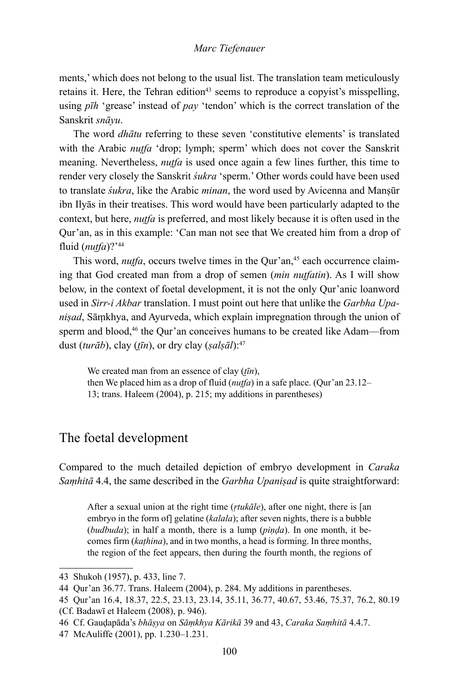ments,' which does not belong to the usual list. The translation team meticulously retains it. Here, the Tehran edition<sup>43</sup> seems to reproduce a copyist's misspelling, using *pīh* 'grease' instead of *pay* 'tendon' which is the correct translation of the Sanskrit *snāyu*.

The word *dhātu* referring to these seven 'constitutive elements' is translated with the Arabic *nutfa* 'drop; lymph; sperm' which does not cover the Sanskrit meaning. Nevertheless, *nutfa* is used once again a few lines further, this time to render very closely the Sanskrit *śukra* 'sperm.' Other words could have been used to translate *śukra*, like the Arabic *minan*, the word used by Avicenna and Manṣūr ibn Ilyās in their treatises. This word would have been particularly adapted to the context, but here, *nut̤fa* is preferred, and most likely because it is often used in the Qur'an, as in this example: 'Can man not see that We created him from a drop of fluid (*nut̤fa*)?'44

This word, *nutfa*, occurs twelve times in the Qur'an,<sup>45</sup> each occurrence claiming that God created man from a drop of semen (*min nut̤fatin*). As I will show below, in the context of foetal development, it is not the only Qur'anic loanword used in *Sirr-i Akbar* translation. I must point out here that unlike the *Garbha Upaniṣad*, Sāṃkhya, and Ayurveda, which explain impregnation through the union of sperm and blood,<sup>46</sup> the Our'an conceives humans to be created like Adam—from dust (*turāb*), clay (*t̤īn*), or dry clay (*ṣalṣāl*):47

We created man from an essence of clay (*t̤īn*), then We placed him as a drop of fluid (*nut̤fa*) in a safe place. (Qur'an 23.12– 13; trans. Haleem (2004), p. 215; my additions in parentheses)

## The foetal development

Compared to the much detailed depiction of embryo development in *Caraka Saṃhitā* 4.4, the same described in the *Garbha Upaniṣad* is quite straightforward:

After a sexual union at the right time (*ṛtukāle*), after one night, there is [an embryo in the form of] gelatine *(kalala)*; after seven nights, there is a bubble (*budbuda*); in half a month, there is a lump (*piṇḍa*). In one month, it becomes firm (*kaṭhina*), and in two months, a head is forming. In three months, the region of the feet appears, then during the fourth month, the regions of

<sup>43</sup> Shukoh (1957), p. 433, line 7.

<sup>44</sup> Qur'an 36.77. Trans. Haleem (2004), p. 284. My additions in parentheses.

<sup>45</sup> Qur'an 16.4, 18.37, 22.5, 23.13, 23.14, 35.11, 36.77, 40.67, 53.46, 75.37, 76.2, 80.19 (Cf. Badawī et Haleem (2008), p. 946).

<sup>46</sup> Cf. Gauḍapāda's *bhāṣya* on *Sāṃkhya Kārikā* 39 and 43, *Caraka Saṃhitā* 4.4.7.

<sup>47</sup> McAuliffe (2001), pp. 1.230–1.231.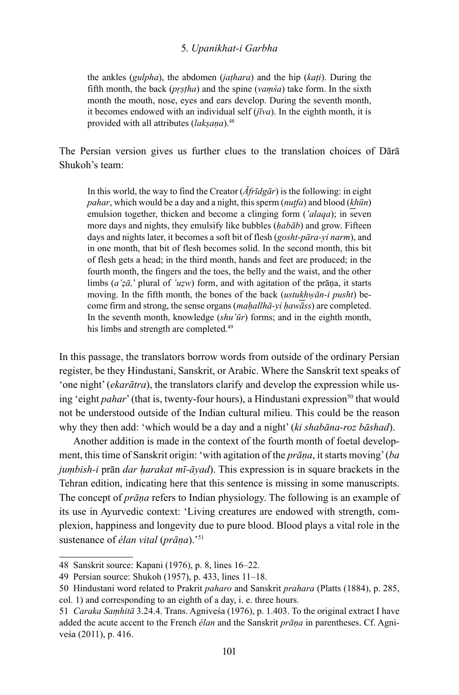the ankles (*gulpha*), the abdomen (*jaṭhara*) and the hip (*kaṭi*). During the fifth month, the back (*pṛṣṭha*) and the spine (*vaṃśa*) take form. In the sixth month the mouth, nose, eyes and ears develop. During the seventh month, it becomes endowed with an individual self (*jīva*). In the eighth month, it is provided with all attributes (*lakṣaṇa*).48

The Persian version gives us further clues to the translation choices of Dārā Shukoh's team:

In this world, the way to find the Creator (*Āfrīdgār*) is the following: in eight *pahar*, which would be a day and a night, this sperm (*nut̤fa*) and blood (*k ͟hūn*) emulsion together, thicken and become a clinging form (*'alaqa*); in seven more days and nights, they emulsify like bubbles (*ḥabāb*) and grow. Fifteen days and nights later, it becomes a soft bit of flesh (*gosht-pāra-yi narm*), and in one month, that bit of flesh becomes solid. In the second month, this bit of flesh gets a head; in the third month, hands and feet are produced; in the fourth month, the fingers and the toes, the belly and the waist, and the other limbs (*a'ẓā,*' plural of *'uẓw*) form, and with agitation of the prāṇa, it starts moving. In the fifth month, the bones of the back (*ustukhwān-i pusht*) become firm and strong, the sense organs (*maḥallhā-yi ḥawāss*) are completed. In the seventh month, knowledge (*shu'ūr*) forms; and in the eighth month, his limbs and strength are completed.<sup>49</sup>

In this passage, the translators borrow words from outside of the ordinary Persian register, be they Hindustani, Sanskrit, or Arabic. Where the Sanskrit text speaks of 'one night' (*ekarātra*), the translators clarify and develop the expression while using 'eight *pahar*' (that is, twenty-four hours), a Hindustani expression<sup>50</sup> that would not be understood outside of the Indian cultural milieu. This could be the reason why they then add: 'which would be a day and a night' (*ki shabāna-roz bāshad*).

Another addition is made in the context of the fourth month of foetal development, this time of Sanskrit origin: 'with agitation of the *prāṇa*, it starts moving' (*ba jumbish-i* prān *dar harakat mī-āyad*). This expression is in square brackets in the Tehran edition, indicating here that this sentence is missing in some manuscripts. The concept of *prāṇa* refers to Indian physiology. The following is an example of its use in Ayurvedic context: 'Living creatures are endowed with strength, complexion, happiness and longevity due to pure blood. Blood plays a vital role in the sustenance of *élan vital* (*prāṇa*).'51

<sup>48</sup> Sanskrit source: Kapani (1976), p. 8, lines 16–22.

<sup>49</sup> Persian source: Shukoh (1957), p. 433, lines 11–18.

<sup>50</sup> Hindustani word related to Prakrit *paharo* and Sanskrit *prahara* (Platts (1884), p. 285, col. 1) and corresponding to an eighth of a day, i. e. three hours.

<sup>51</sup> *Caraka Saṃhitā* 3.24.4. Trans. Agniveśa (1976), p. 1.403. To the original extract I have added the acute accent to the French *élan* and the Sanskrit *prāṇa* in parentheses. Cf. Agniveśa (2011), p. 416.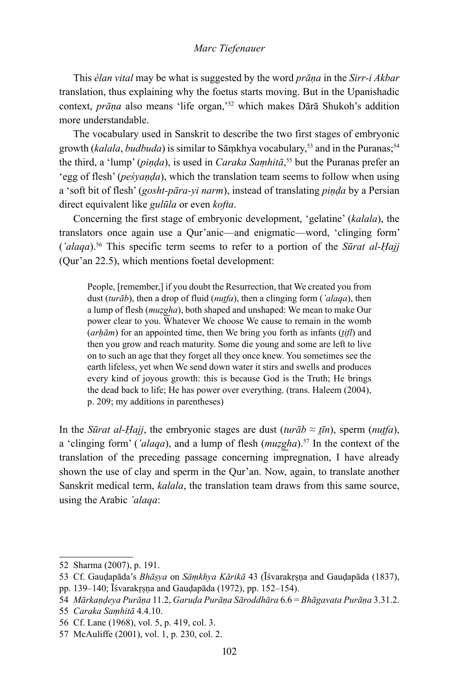This *élan vital* may be what is suggested by the word *prāṇa* in the *Sirr-i Akbar* translation, thus explaining why the foetus starts moving. But in the Upanishadic context, *prāṇa* also means 'life organ,'52 which makes Dārā Shukoh's addition more understandable.

The vocabulary used in Sanskrit to describe the two first stages of embryonic growth (*kalala*, *budbuda*) is similar to Sāṃkhya vocabulary,53 and in the Puranas;54 the third, a 'lump' (*piṇḍa*), is used in *Caraka Saṃhitā*, 55 but the Puranas prefer an 'egg of flesh' (*peśyaṇḍa*), which the translation team seems to follow when using a 'soft bit of flesh' (*gosht-pāra-yi narm*), instead of translating *piṇḍa* by a Persian direct equivalent like *gulūla* or even *kofta*.

Concerning the first stage of embryonic development, 'gelatine' (*kalala*), the translators once again use a Qur'anic—and enigmatic—word, 'clinging form' (*'alaqa*).56 This specific term seems to refer to a portion of the *Sūrat al-Ḥajj* (Qur'an 22.5), which mentions foetal development:

People, [remember,] if you doubt the Resurrection, that We created you from dust (*turāb*), then a drop of fluid (*nut̤fa*), then a clinging form (*'alaqa*), then a lump of flesh (*muẓg͟ha*), both shaped and unshaped: We mean to make Our power clear to you. Whatever We choose We cause to remain in the womb (*arḥām*) for an appointed time, then We bring you forth as infants (*t̤ifl*) and then you grow and reach maturity. Some die young and some are left to live on to such an age that they forget all they once knew. You sometimes see the earth lifeless, yet when We send down water it stirs and swells and produces every kind of joyous growth: this is because God is the Truth; He brings the dead back to life; He has power over everything. (trans. Haleem (2004), p. 209; my additions in parentheses)

In the *Sūrat al-Hajj*, the embryonic stages are dust (*turāb*  $\approx$  *tīn*), sperm (*nutfa*), a 'clinging form' (*'alaqa*), and a lump of flesh (*muzgha*).<sup>57</sup> In the context of the translation of the preceding passage concerning impregnation, I have already shown the use of clay and sperm in the Qur'an. Now, again, to translate another Sanskrit medical term, *kalala*, the translation team draws from this same source, using the Arabic *'alaqa*:

<sup>52</sup> Sharma (2007), p. 191.

<sup>53</sup> Cf. Gauḍapāda's *Bhāṣya* on *Sāṃkhya Kārikā* 43 (Īśvarakṛṣṇa and Gauḍapāda (1837),

pp. 139–140; Īśvarakṛṣṇa and Gauḍapāda (1972), pp. 152–154).

<sup>54</sup> *Mārkaṇḍeya Purāṇa* 11.2, *Garuḍa Purāṇa Sāroddhāra* 6.6 = *Bhāgavata Purāṇa* 3.31.2.

<sup>55</sup> *Caraka Saṃhitā* 4.4.10.

<sup>56</sup> Cf. Lane (1968), vol. 5, p. 419, col. 3.

<sup>57</sup> McAuliffe (2001), vol. 1, p. 230, col. 2.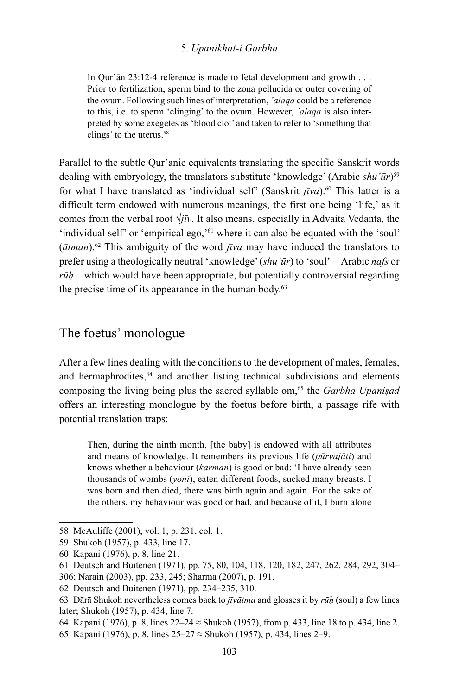In Qur'ān 23:12-4 reference is made to fetal development and growth . . . Prior to fertilization, sperm bind to the zona pellucida or outer covering of the ovum. Following such lines of interpretation, *'alaqa* could be a reference to this, i.e. to sperm 'clinging' to the ovum. However, *'alaqa* is also interpreted by some exegetes as 'blood clot' and taken to refer to 'something that clings' to the uterus.<sup>58</sup>

Parallel to the subtle Qur'anic equivalents translating the specific Sanskrit words dealing with embryology, the translators substitute 'knowledge' (Arabic *shu'ūr*)59 for what I have translated as 'individual self' (Sanskrit *jīva*).60 This latter is a difficult term endowed with numerous meanings, the first one being 'life,' as it comes from the verbal root *√jīv*. It also means, especially in Advaita Vedanta, the 'individual self' or 'empirical ego,'61 where it can also be equated with the 'soul'  $(\bar{a}t$ *man*).<sup>62</sup> This ambiguity of the word *jīva* may have induced the translators to prefer using a theologically neutral 'knowledge' (*shu'ūr*) to 'soul'—Arabic *nafs* or *rūḥ*—which would have been appropriate, but potentially controversial regarding the precise time of its appearance in the human body. $63$ 

## The foetus' monologue

After a few lines dealing with the conditions to the development of males, females, and hermaphrodites, $64$  and another listing technical subdivisions and elements composing the living being plus the sacred syllable om,<sup>65</sup> the *Garbha Upanisad* offers an interesting monologue by the foetus before birth, a passage rife with potential translation traps:

Then, during the ninth month, [the baby] is endowed with all attributes and means of knowledge. It remembers its previous life (*pūrvajāti*) and knows whether a behaviour (*karman*) is good or bad: 'I have already seen thousands of wombs (*yoni*), eaten different foods, sucked many breasts. I was born and then died, there was birth again and again. For the sake of the others, my behaviour was good or bad, and because of it, I burn alone

<sup>58</sup> McAuliffe (2001), vol. 1, p. 231, col. 1.

<sup>59</sup> Shukoh (1957), p. 433, line 17.

<sup>60</sup> Kapani (1976), p. 8, line 21.

<sup>61</sup> Deutsch and Buitenen (1971), pp. 75, 80, 104, 118, 120, 182, 247, 262, 284, 292, 304–

<sup>306;</sup> Narain (2003), pp. 233, 245; Sharma (2007), p. 191.

<sup>62</sup> Deutsch and Buitenen (1971), pp. 234–235, 310.

<sup>63</sup> Dārā Shukoh nevertheless comes back to *jīvātma* and glosses it by *rūḥ* (soul) a few lines later; Shukoh (1957), p. 434, line 7.

<sup>64</sup> Kapani (1976), p. 8, lines  $22-24 \approx$  Shukoh (1957), from p. 433, line 18 to p. 434, line 2.

<sup>65</sup> Kapani (1976), p. 8, lines 25–27 ≈ Shukoh (1957), p. 434, lines 2–9.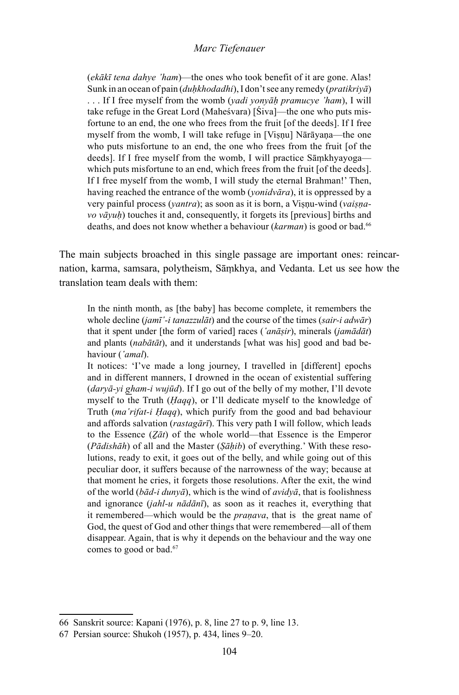(*ekākī tena dahye 'ham*)—the ones who took benefit of it are gone. Alas! Sunk in an ocean of pain (*duḥkhodadhi*), I don't see any remedy (*pratikriyā*) . . . If I free myself from the womb (*yadi yonyāḥ pramucye 'ham*), I will take refuge in the Great Lord (Maheśvara) [Śiva]—the one who puts misfortune to an end, the one who frees from the fruit [of the deeds]. If I free myself from the womb, I will take refuge in [Viṣṇu] Nārāyaṇa—the one who puts misfortune to an end, the one who frees from the fruit [of the deeds]. If I free myself from the womb, I will practice Sāṃkhyayoga which puts misfortune to an end, which frees from the fruit [of the deeds]. If I free myself from the womb, I will study the eternal Brahman!' Then, having reached the entrance of the womb (*yonidvāra*), it is oppressed by a very painful process (*yantra*); as soon as it is born, a Visnu-wind (*vaisnavo vāyuḥ*) touches it and, consequently, it forgets its [previous] births and deaths, and does not know whether a behaviour (*karman*) is good or bad.<sup>66</sup>

The main subjects broached in this single passage are important ones: reincarnation, karma, samsara, polytheism, Sāṃkhya, and Vedanta. Let us see how the translation team deals with them:

In the ninth month, as [the baby] has become complete, it remembers the whole decline (*jamī'-i tanazzulāt*) and the course of the times (*sair-i adwār*) that it spent under [the form of varied] races (*'anāṣir*), minerals (*jamādāt*) and plants (*nabātāt*), and it understands [what was his] good and bad behaviour (*'amal*).

It notices: 'I've made a long journey, I travelled in [different] epochs and in different manners, I drowned in the ocean of existential suffering (*daryā-yi gham-i wujūd*). If I go out of the belly of my mother, I'll devote myself to the Truth (*Ḥaqq*), or I'll dedicate myself to the knowledge of Truth (*ma'rifat-i Ḥaqq*), which purify from the good and bad behaviour and affords salvation (*rastagārī*). This very path I will follow, which leads to the Essence (*Ẕāt*) of the whole world—that Essence is the Emperor (*Pādishāh*) of all and the Master (*Ṣāḥib*) of everything.' With these resolutions, ready to exit, it goes out of the belly, and while going out of this peculiar door, it suffers because of the narrowness of the way; because at that moment he cries, it forgets those resolutions. After the exit, the wind of the world (*bād-i dunyā*), which is the wind of *avidyā*, that is foolishness and ignorance (*jahl-u nādānī*), as soon as it reaches it, everything that it remembered—which would be the *praṇava*, that is the great name of God, the quest of God and other things that were remembered—all of them disappear. Again, that is why it depends on the behaviour and the way one comes to good or bad.<sup>67</sup>

<sup>66</sup> Sanskrit source: Kapani (1976), p. 8, line 27 to p. 9, line 13.

<sup>67</sup> Persian source: Shukoh (1957), p. 434, lines 9–20.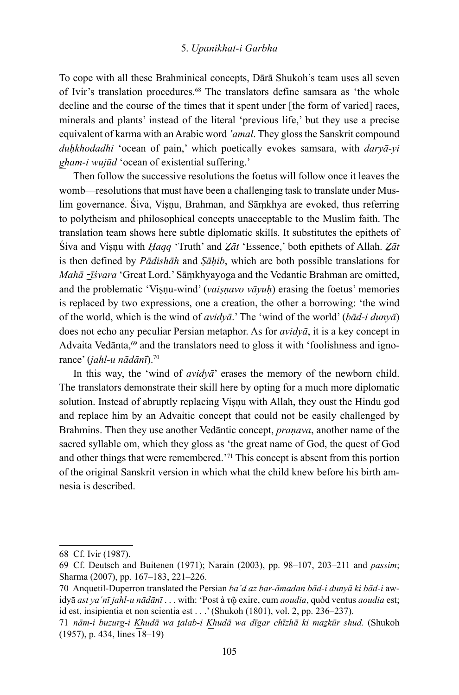To cope with all these Brahminical concepts, Dārā Shukoh's team uses all seven of Ivir's translation procedures.<sup>68</sup> The translators define samsara as 'the whole decline and the course of the times that it spent under [the form of varied] races, minerals and plants' instead of the literal 'previous life,' but they use a precise equivalent of karma with an Arabic word *'amal*. They gloss the Sanskrit compound *duḥkhodadhi* 'ocean of pain,' which poetically evokes samsara, with *daryā-yi gham-i wujūd* 'ocean of existential suffering.'

Then follow the successive resolutions the foetus will follow once it leaves the womb—resolutions that must have been a challenging task to translate under Muslim governance. Śiva, Viṣṇu, Brahman, and Sāṃkhya are evoked, thus referring to polytheism and philosophical concepts unacceptable to the Muslim faith. The translation team shows here subtle diplomatic skills. It substitutes the epithets of Śiva and Viṣṇu with *Ḥaqq* 'Truth' and *Ẕāt* 'Essence,' both epithets of Allah. *Ẕāt* is then defined by *Pādishāh* and *Ṣāḥib*, which are both possible translations for *Mahā -īśvara* 'Great Lord.' Sāṃkhyayoga and the Vedantic Brahman are omitted, and the problematic 'Viṣṇu-wind' (*vaiṣṇavo vāyuḥ*) erasing the foetus' memories is replaced by two expressions, one a creation, the other a borrowing: 'the wind of the world, which is the wind of *avidyā*.' The 'wind of the world' (*bād-i dunyā*) does not echo any peculiar Persian metaphor. As for *avidyā*, it is a key concept in Advaita Vedānta,<sup>69</sup> and the translators need to gloss it with 'foolishness and ignorance' (*jahl-u nādānī*).70

In this way, the 'wind of *avidyā*' erases the memory of the newborn child. The translators demonstrate their skill here by opting for a much more diplomatic solution. Instead of abruptly replacing Viṣṇu with Allah, they oust the Hindu god and replace him by an Advaitic concept that could not be easily challenged by Brahmins. Then they use another Vedāntic concept, *praṇava*, another name of the sacred syllable om, which they gloss as 'the great name of God, the quest of God and other things that were remembered.'71 This concept is absent from this portion of the original Sanskrit version in which what the child knew before his birth amnesia is described.

<sup>68</sup> Cf. Ivir (1987).

<sup>69</sup> Cf. Deutsch and Buitenen (1971); Narain (2003), pp. 98–107, 203–211 and *passim*; Sharma (2007), pp. 167–183, 221–226.

<sup>70</sup> Anquetil-Duperron translated the Persian *ba'd az bar-āmadan bād-i dunyā ki bād-i* awidyā *ast ya'nī jahl-u nādānī* . . . with: 'Post à τῷ exire, cum *aoudia*, quòd ventus *aoudia* est; id est, insipientia et non scientia est . . .' (Shukoh (1801), vol. 2, pp. 236–237).

<sup>71</sup> *nām-i buzurg-i K͟hudā wa t̤alab-i K͟hudā wa dīgar chīzhā ki maẕkūr shud.* (Shukoh (1957), p. 434, lines 18–19)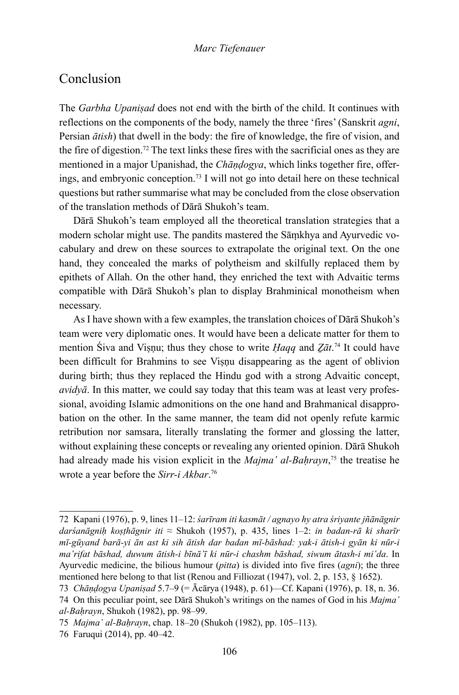## Conclusion

The *Garbha Upaniṣad* does not end with the birth of the child. It continues with reflections on the components of the body, namely the three 'fires' (Sanskrit *agni*, Persian *ātish*) that dwell in the body: the fire of knowledge, the fire of vision, and the fire of digestion.72 The text links these fires with the sacrificial ones as they are mentioned in a major Upanishad, the *Chāṇḍogya*, which links together fire, offerings, and embryonic conception.73 I will not go into detail here on these technical questions but rather summarise what may be concluded from the close observation of the translation methods of Dārā Shukoh's team.

Dārā Shukoh's team employed all the theoretical translation strategies that a modern scholar might use. The pandits mastered the Sāṃkhya and Ayurvedic vocabulary and drew on these sources to extrapolate the original text. On the one hand, they concealed the marks of polytheism and skilfully replaced them by epithets of Allah. On the other hand, they enriched the text with Advaitic terms compatible with Dārā Shukoh's plan to display Brahminical monotheism when necessary.

As I have shown with a few examples, the translation choices of Dārā Shukoh's team were very diplomatic ones. It would have been a delicate matter for them to mention Śiva and Viṣṇu; thus they chose to write *Ḥaqq* and *Ẕāt*. 74 It could have been difficult for Brahmins to see Visnu disappearing as the agent of oblivion during birth; thus they replaced the Hindu god with a strong Advaitic concept, *avidyā*. In this matter, we could say today that this team was at least very professional, avoiding Islamic admonitions on the one hand and Brahmanical disapprobation on the other. In the same manner, the team did not openly refute karmic retribution nor samsara, literally translating the former and glossing the latter, without explaining these concepts or revealing any oriented opinion. Dārā Shukoh had already made his vision explicit in the *Majma' al-Baḥrayn*, 75 the treatise he wrote a year before the *Sirr-i Akbar*. 76

<sup>72</sup> Kapani (1976), p. 9, lines 11–12: *śarīram iti kasmāt / agnayo hy atra śriyante jñānāgnir darśanāgniḥ koṣṭhāgnir iti* ≈ Shukoh (1957), p. 435, lines 1–2: *in badan-rā ki sharīr mī-gūyand barā-yi ān ast ki sih ātish dar badan mī-bāshad: yak-i ātish-i gyān ki nūr-i ma'rifat bāshad, duwum ātish-i bīnā'ī ki nūr-i chashm bāshad, siwum ātash-i mi'da*. In Ayurvedic medicine, the bilious humour (*pitta*) is divided into five fires (*agni*); the three mentioned here belong to that list (Renou and Filliozat (1947), vol. 2, p. 153, § 1652).

<sup>73</sup> *Chāṇḍogya Upaniṣad* 5.7–9 (= Ācārya (1948), p. 61)—Cf. Kapani (1976), p. 18, n. 36. 74 On this peculiar point, see Dārā Shukoh's writings on the names of God in his *Majma' al-Baḥrayn*, Shukoh (1982), pp. 98–99.

<sup>75</sup> *Majma' al-Baḥrayn*, chap. 18–20 (Shukoh (1982), pp. 105–113).

<sup>76</sup> Faruqui (2014), pp. 40–42.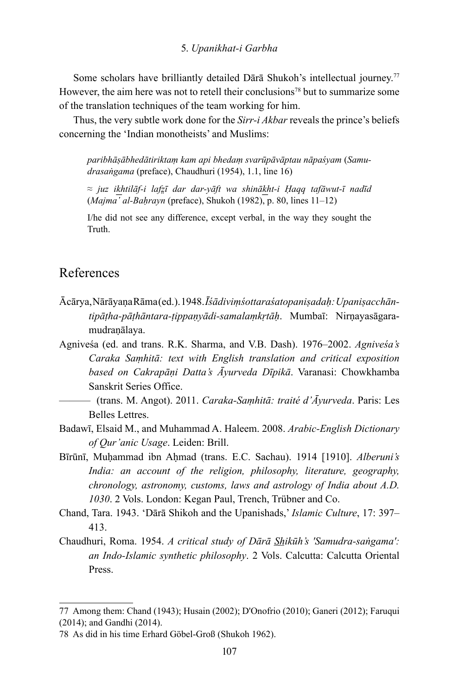Some scholars have brilliantly detailed Dārā Shukoh's intellectual journey.<sup>77</sup> However, the aim here was not to retell their conclusions78 but to summarize some of the translation techniques of the team working for him.

Thus, the very subtle work done for the *Sirr-i Akbar* reveals the prince's beliefs concerning the 'Indian monotheists' and Muslims:

*paribhāṣābhedātiriktaṃ kam api bhedaṃ svarūpāvāptau nāpaśyam* (*Samudrasaṅgama* (preface), Chaudhuri (1954), 1.1, line 16)

≈ *juz ik͟htilāf-i lafz̤ī dar dar-yāft wa shināk͟ht-i Ḥaqq tafāwut-ī nadīd* (*Majma' al-Baḥrayn* (preface), Shukoh (1982), p. 80, lines 11–12)

I/he did not see any difference, except verbal, in the way they sought the Truth.

# References

- Ācārya, Nārāyaṇa Rāma (ed.). 1948. *Īśādiviṃśottaraśatopaniṣadaḥ: Upaniṣacchāntipāṭha-pāṭhāntara-ṭippaṇyādi-samalaṃkṛtāḥ*. Mumbaī: Nirṇayasāgaramudraṇālaya.
- Agniveśa (ed. and trans. R.K. Sharma, and V.B. Dash). 1976–2002. *Agniveśa's Caraka Saṃhitā: text with English translation and critical exposition based on Cakrapāṇi Datta's Āyurveda Dīpikā*. Varanasi: Chowkhamba Sanskrit Series Office.
	- ——— (trans. M. Angot). 2011. *Caraka-Saṃhitā: traité d'Āyurveda*. Paris: Les Belles Lettres.
- Badawī, Elsaid M., and Muhammad A. Haleem. 2008. *Arabic-English Dictionary of Qur'anic Usage*. Leiden: Brill.
- Bīrūnī, Muḥammad ibn Aḥmad (trans. E.C. Sachau). 1914 [1910]. *Alberuni's India: an account of the religion, philosophy, literature, geography, chronology, astronomy, customs, laws and astrology of India about A.D. 1030*. 2 Vols. London: Kegan Paul, Trench, Trübner and Co.
- Chand, Tara. 1943. 'Dārā Shikoh and the Upanishads,' *Islamic Culture*, 17: 397– 413.
- Chaudhuri, Roma. 1954. *A critical study of Dārā S̲h̲ikūh's 'Samudra-saṅgama': an Indo-Islamic synthetic philosophy*. 2 Vols. Calcutta: Calcutta Oriental Press.

<sup>77</sup> Among them: Chand (1943); Husain (2002); D'Onofrio (2010); Ganeri (2012); Faruqui (2014); and Gandhi (2014).

<sup>78</sup> As did in his time Erhard Göbel-Groß (Shukoh 1962).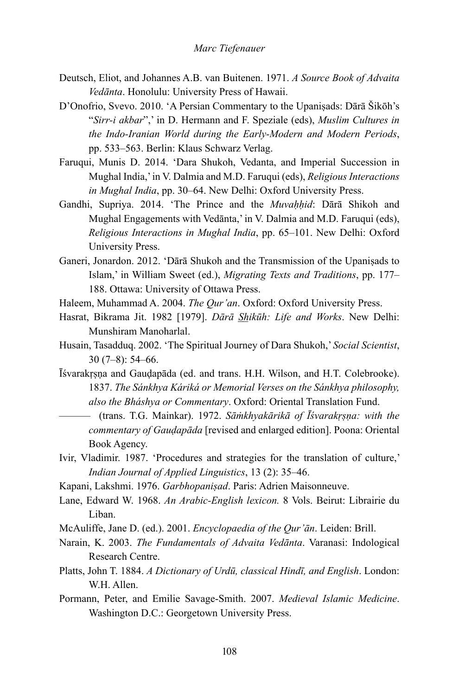- Deutsch, Eliot, and Johannes A.B. van Buitenen. 1971. *A Source Book of Advaita Vedānta*. Honolulu: University Press of Hawaii.
- D'Onofrio, Svevo. 2010. 'A Persian Commentary to the Upaniṣads: Dārā Šikōh's "*Sirr-i akbar*",' in D. Hermann and F. Speziale (eds), *Muslim Cultures in the Indo-Iranian World during the Early-Modern and Modern Periods*, pp. 533–563. Berlin: Klaus Schwarz Verlag.
- Faruqui, Munis D. 2014. 'Dara Shukoh, Vedanta, and Imperial Succession in Mughal India,' in V. Dalmia and M.D. Faruqui (eds), *Religious Interactions in Mughal India*, pp. 30–64. New Delhi: Oxford University Press.
- Gandhi, Supriya. 2014. 'The Prince and the *Muvaḥḥid*: Dārā Shikoh and Mughal Engagements with Vedānta,' in V. Dalmia and M.D. Faruqui (eds), *Religious Interactions in Mughal India*, pp. 65–101. New Delhi: Oxford University Press.
- Ganeri, Jonardon. 2012. 'Dārā Shukoh and the Transmission of the Upaniṣads to Islam,' in William Sweet (ed.), *Migrating Texts and Traditions*, pp. 177– 188. Ottawa: University of Ottawa Press.
- Haleem, Muhammad A. 2004. *The Qur'an*. Oxford: Oxford University Press.
- Hasrat, Bikrama Jit. 1982 [1979]. *Dārā S̲h̲ikūh: Life and Works*. New Delhi: Munshiram Manoharlal.
- Husain, Tasadduq. 2002. 'The Spiritual Journey of Dara Shukoh,' *Social Scientist*, 30 (7–8): 54–66.
- Īśvarakṛṣṇa and Gauḍapāda (ed. and trans. H.H. Wilson, and H.T. Colebrooke). 1837. *The Sánkhya Káriká or Memorial Verses on the Sánkhya philosophy, also the Bháshya or Commentary*. Oxford: Oriental Translation Fund.
	- ——— (trans. T.G. Mainkar). 1972. *Sāṁkhyakārikā of Īśvarakṛṣṇa: with the commentary of Gauḍapāda* [revised and enlarged edition]. Poona: Oriental Book Agency.
- Ivir, Vladimir. 1987. 'Procedures and strategies for the translation of culture,' *Indian Journal of Applied Linguistics*, 13 (2): 35–46.
- Kapani, Lakshmi. 1976. *Garbhopaniṣad*. Paris: Adrien Maisonneuve.
- Lane, Edward W. 1968. *An Arabic-English lexicon.* 8 Vols. Beirut: Librairie du Liban.
- McAuliffe, Jane D. (ed.). 2001. *Encyclopaedia of the Qur'ān*. Leiden: Brill.
- Narain, K. 2003. *The Fundamentals of Advaita Vedānta*. Varanasi: Indological Research Centre.
- Platts, John T. 1884. *A Dictionary of Urdū, classical Hindī, and English*. London: W.H. Allen.
- Pormann, Peter, and Emilie Savage-Smith. 2007. *Medieval Islamic Medicine*. Washington D.C.: Georgetown University Press.